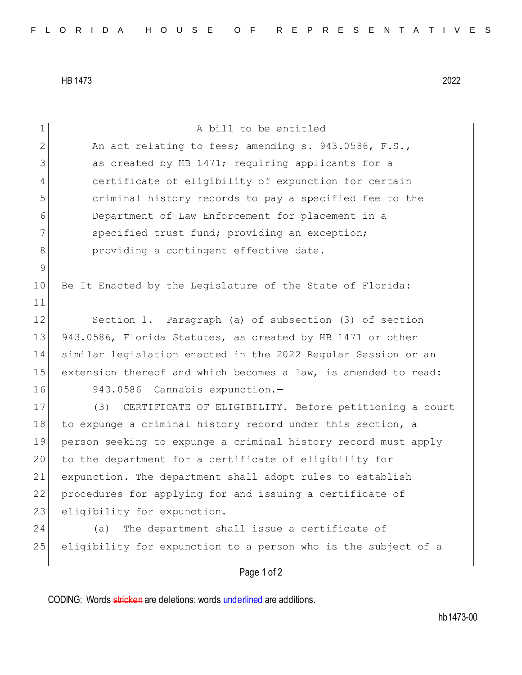HB 1473 2022

| 1             | A bill to be entitled                                           |
|---------------|-----------------------------------------------------------------|
| $\mathbf{2}$  | An act relating to fees; amending s. 943.0586, F.S.,            |
| 3             | as created by HB 1471; requiring applicants for a               |
| 4             | certificate of eligibility of expunction for certain            |
| 5             | criminal history records to pay a specified fee to the          |
| 6             | Department of Law Enforcement for placement in a                |
| 7             | specified trust fund; providing an exception;                   |
| 8             | providing a contingent effective date.                          |
| $\mathcal{G}$ |                                                                 |
| 10            | Be It Enacted by the Legislature of the State of Florida:       |
| 11            |                                                                 |
| 12            | Section 1. Paragraph (a) of subsection (3) of section           |
| 13            | 943.0586, Florida Statutes, as created by HB 1471 or other      |
| 14            | similar legislation enacted in the 2022 Regular Session or an   |
| 15            | extension thereof and which becomes a law, is amended to read:  |
| 16            | 943.0586 Cannabis expunction.-                                  |
| 17            | CERTIFICATE OF ELIGIBILITY. - Before petitioning a court<br>(3) |
| 18            | to expunge a criminal history record under this section, a      |
| 19            | person seeking to expunge a criminal history record must apply  |
| 20            | to the department for a certificate of eligibility for          |
| 21            | expunction. The department shall adopt rules to establish       |
| 22            | procedures for applying for and issuing a certificate of        |
| 23            | eligibility for expunction.                                     |
| 24            | The department shall issue a certificate of<br>(a)              |
| 25            | eligibility for expunction to a person who is the subject of a  |
|               | Page 1 of 2                                                     |

CODING: Words stricken are deletions; words underlined are additions.